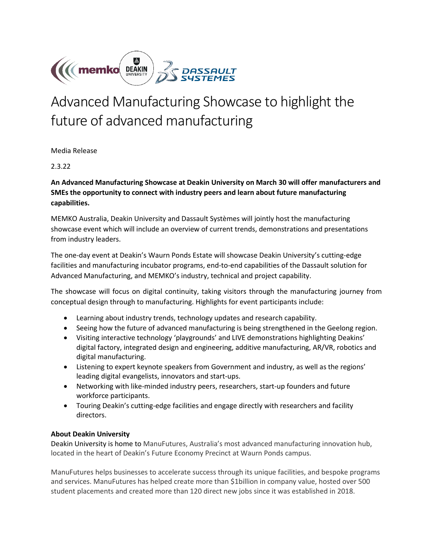

# Advanced Manufacturing Showcase to highlight the future of advanced manufacturing

Media Release

2.3.22

**An Advanced Manufacturing Showcase at Deakin University on March 30 will offer manufacturers and SMEs the opportunity to connect with industry peers and learn about future manufacturing capabilities.**

MEMKO Australia, Deakin University and Dassault Systèmes will jointly host the manufacturing showcase event which will include an overview of current trends, demonstrations and presentations from industry leaders.

The one-day event at Deakin's Waurn Ponds Estate will showcase Deakin University's cutting-edge facilities and manufacturing incubator programs, end-to-end capabilities of the Dassault solution for Advanced Manufacturing, and MEMKO's industry, technical and project capability.

The showcase will focus on digital continuity, taking visitors through the manufacturing journey from conceptual design through to manufacturing. Highlights for event participants include:

- Learning about industry trends, technology updates and research capability.
- Seeing how the future of advanced manufacturing is being strengthened in the Geelong region.
- Visiting interactive technology 'playgrounds' and LIVE demonstrations highlighting Deakins' digital factory, integrated design and engineering, additive manufacturing, AR/VR, robotics and digital manufacturing.
- Listening to expert keynote speakers from Government and industry, as well as the regions' leading digital evangelists, innovators and start-ups.
- Networking with like-minded industry peers, researchers, start-up founders and future workforce participants.
- Touring Deakin's cutting-edge facilities and engage directly with researchers and facility directors.

# **About Deakin University**

Deakin University is home to ManuFutures, Australia's most advanced manufacturing innovation hub, located in the heart of Deakin's Future Economy Precinct at Waurn Ponds campus.

ManuFutures helps businesses to accelerate success through its unique facilities, and bespoke programs and services. ManuFutures has helped create more than \$1billion in company value, hosted over 500 student placements and created more than 120 direct new jobs since it was established in 2018.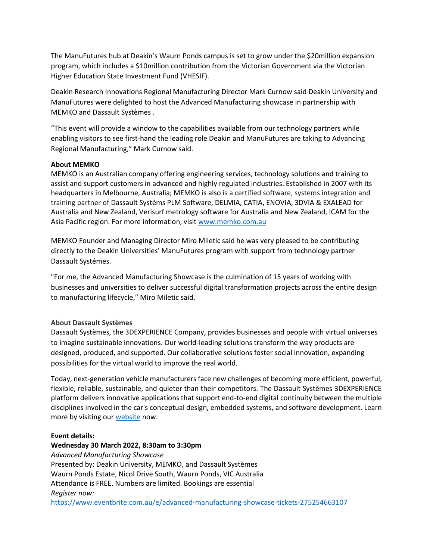The ManuFutures hub at Deakin's Waurn Ponds campus is set to grow under the \$20million expansion program, which includes a \$10million contribution from the Victorian Government via the Victorian Higher Education State Investment Fund (VHESIF).

Deakin Research Innovations Regional Manufacturing Director Mark Curnow said Deakin University and ManuFutures were delighted to host the Advanced Manufacturing showcase in partnership with MEMKO and Dassault Systèmes .

"This event will provide a window to the capabilities available from our technology partners while enabling visitors to see first-hand the leading role Deakin and ManuFutures are taking to Advancing Regional Manufacturing," Mark Curnow said.

# **About MEMKO**

MEMKO is an Australian company offering engineering services, technology solutions and training to assist and support customers in advanced and highly regulated industries. Established in 2007 with its headquarters in Melbourne, Australia; MEMKO is also is a certified software, systems integration and training partner of Dassault Systéms PLM Software, DELMIA, CATIA, ENOVIA, 3DVIA & EXALEAD for Australia and New Zealand, Verisurf metrology software for Australia and New Zealand, ICAM for the Asia Pacific region. For more information, visit [www.memko.com.au](http://www.memko.com.au/)

MEMKO Founder and Managing Director Miro Miletic said he was very pleased to be contributing directly to the Deakin Universities' ManuFutures program with support from technology partner Dassault Systémes.

"For me, the Advanced Manufacturing Showcase is the culmination of 15 years of working with businesses and universities to deliver successful digital transformation projects across the entire design to manufacturing lifecycle," Miro Miletic said.

# **About Dassault Systèmes**

Dassault Systèmes, the 3DEXPERIENCE Company, provides businesses and people with virtual universes to imagine sustainable innovations. Our world-leading solutions transform the way products are designed, produced, and supported. Our collaborative solutions foster social innovation, expanding possibilities for the virtual world to improve the real world.

Today, next-generation vehicle manufacturers face new challenges of becoming more efficient, powerful, flexible, reliable, sustainable, and quieter than their competitors. The Dassault Systèmes 3DEXPERIENCE platform delivers innovative applications that support end-to-end digital continuity between the multiple disciplines involved in the car's conceptual design, embedded systems, and software development. Learn more by visiting ou[r website](http://www.3ds.com/) now.

### **Event details:**

### **Wednesday 30 March 2022, 8:30am to 3:30pm**

*Advanced Manufacturing Showcase*  Presented by: Deakin University, MEMKO, and Dassault Systèmes Waurn Ponds Estate, Nicol Drive South, Waurn Ponds, VIC Australia Attendance is FREE. Numbers are limited. Bookings are essential *Register now:*

<https://www.eventbrite.com.au/e/advanced-manufacturing-showcase-tickets-275254663107>